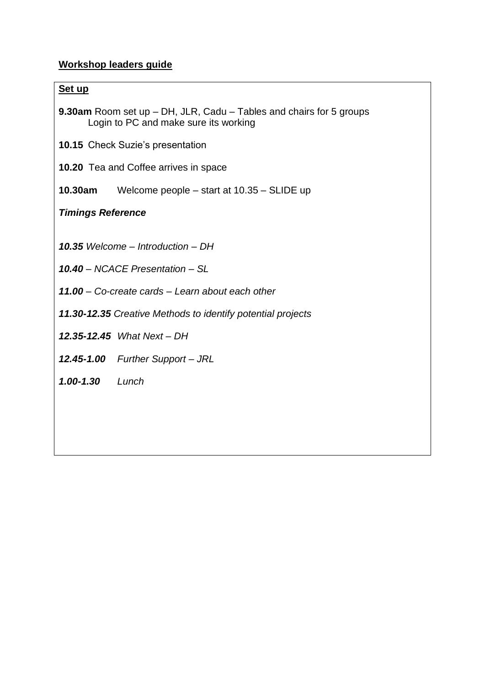## **Workshop leaders guide**

#### **Set up**

|                                       | <b>9.30am</b> Room set up $-$ DH, JLR, Cadu $-$ Tables and chairs for 5 groups |
|---------------------------------------|--------------------------------------------------------------------------------|
| Login to PC and make sure its working |                                                                                |

- **10.15** Check Suzie's presentation
- **10.20** Tea and Coffee arrives in space
- **10.30am** Welcome people start at 10.35 SLIDE up

### *Timings Reference*

*10.35 Welcome – Introduction – DH*

- *10.40 – NCACE Presentation – SL*
- *11.00 – Co-create cards – Learn about each other*
- *11.30-12.35 Creative Methods to identify potential projects*
- *12.35-12.45 What Next – DH*
- *12.45-1.00 Further Support – JRL*
- *1.00-1.30 Lunch*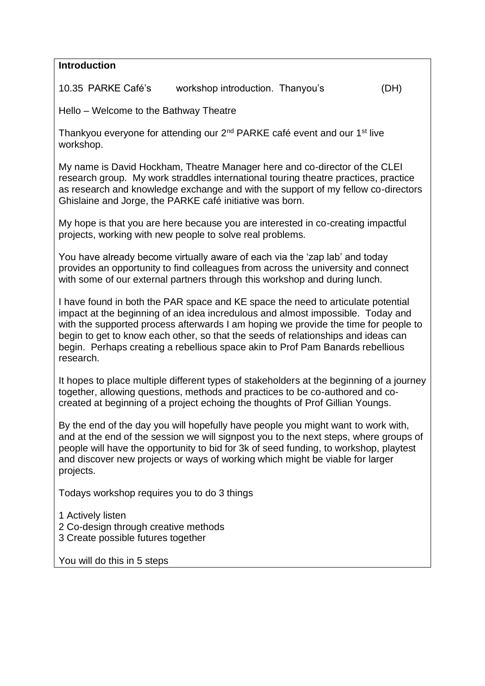| <b>Introduction</b>                                                                                                                                                                                                                                                                                                                                                                                                                            |  |  |  |
|------------------------------------------------------------------------------------------------------------------------------------------------------------------------------------------------------------------------------------------------------------------------------------------------------------------------------------------------------------------------------------------------------------------------------------------------|--|--|--|
| 10.35 PARKE Café's<br>workshop introduction. Thanyou's<br>(DH)                                                                                                                                                                                                                                                                                                                                                                                 |  |  |  |
| Hello – Welcome to the Bathway Theatre                                                                                                                                                                                                                                                                                                                                                                                                         |  |  |  |
| Thankyou everyone for attending our 2 <sup>nd</sup> PARKE café event and our 1 <sup>st</sup> live<br>workshop.                                                                                                                                                                                                                                                                                                                                 |  |  |  |
| My name is David Hockham, Theatre Manager here and co-director of the CLEI<br>research group. My work straddles international touring theatre practices, practice<br>as research and knowledge exchange and with the support of my fellow co-directors<br>Ghislaine and Jorge, the PARKE café initiative was born.                                                                                                                             |  |  |  |
| My hope is that you are here because you are interested in co-creating impactful<br>projects, working with new people to solve real problems.                                                                                                                                                                                                                                                                                                  |  |  |  |
| You have already become virtually aware of each via the 'zap lab' and today<br>provides an opportunity to find colleagues from across the university and connect<br>with some of our external partners through this workshop and during lunch.                                                                                                                                                                                                 |  |  |  |
| I have found in both the PAR space and KE space the need to articulate potential<br>impact at the beginning of an idea incredulous and almost impossible. Today and<br>with the supported process afterwards I am hoping we provide the time for people to<br>begin to get to know each other, so that the seeds of relationships and ideas can<br>begin. Perhaps creating a rebellious space akin to Prof Pam Banards rebellious<br>research. |  |  |  |
| It hopes to place multiple different types of stakeholders at the beginning of a journey<br>together, allowing questions, methods and practices to be co-authored and co-<br>created at beginning of a project echoing the thoughts of Prof Gillian Youngs.                                                                                                                                                                                    |  |  |  |
| By the end of the day you will hopefully have people you might want to work with,<br>and at the end of the session we will signpost you to the next steps, where groups of<br>people will have the opportunity to bid for 3k of seed funding, to workshop, playtest<br>and discover new projects or ways of working which might be viable for larger<br>projects.                                                                              |  |  |  |
| Todays workshop requires you to do 3 things                                                                                                                                                                                                                                                                                                                                                                                                    |  |  |  |
| 1 Actively listen<br>2 Co-design through creative methods<br>3 Create possible futures together                                                                                                                                                                                                                                                                                                                                                |  |  |  |
| You will do this in 5 steps                                                                                                                                                                                                                                                                                                                                                                                                                    |  |  |  |
|                                                                                                                                                                                                                                                                                                                                                                                                                                                |  |  |  |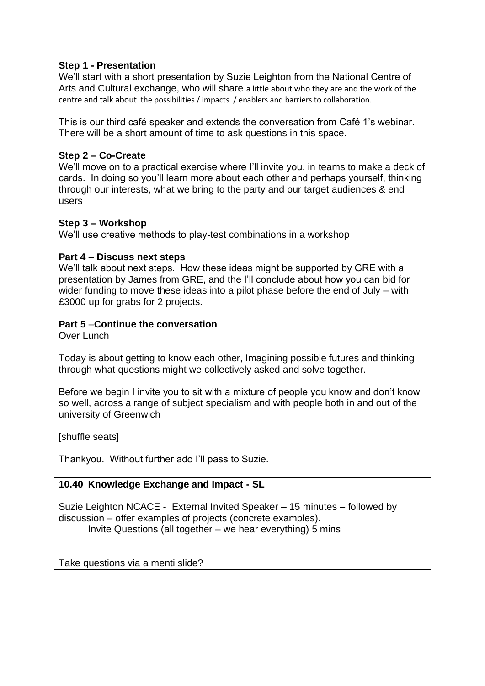#### **Step 1 - Presentation**

We'll start with a short presentation by Suzie Leighton from the National Centre of Arts and Cultural exchange, who will share a little about who they are and the work of the centre and talk about the possibilities / impacts / enablers and barriers to collaboration.

This is our third café speaker and extends the conversation from Café 1's webinar. There will be a short amount of time to ask questions in this space.

### **Step 2 – Co-Create**

We'll move on to a practical exercise where I'll invite you, in teams to make a deck of cards. In doing so you'll learn more about each other and perhaps yourself, thinking through our interests, what we bring to the party and our target audiences & end users

### **Step 3 – Workshop**

We'll use creative methods to play-test combinations in a workshop

#### **Part 4 – Discuss next steps**

We'll talk about next steps. How these ideas might be supported by GRE with a presentation by James from GRE, and the I'll conclude about how you can bid for wider funding to move these ideas into a pilot phase before the end of July – with £3000 up for grabs for 2 projects.

## **Part 5** –**Continue the conversation**

Over Lunch

Today is about getting to know each other, Imagining possible futures and thinking through what questions might we collectively asked and solve together.

Before we begin I invite you to sit with a mixture of people you know and don't know so well, across a range of subject specialism and with people both in and out of the university of Greenwich

[shuffle seats]

Thankyou. Without further ado I'll pass to Suzie.

## **10.40 Knowledge Exchange and Impact - SL**

Suzie Leighton NCACE - External Invited Speaker – 15 minutes – followed by discussion – offer examples of projects (concrete examples). Invite Questions (all together – we hear everything) 5 mins

Take questions via a menti slide?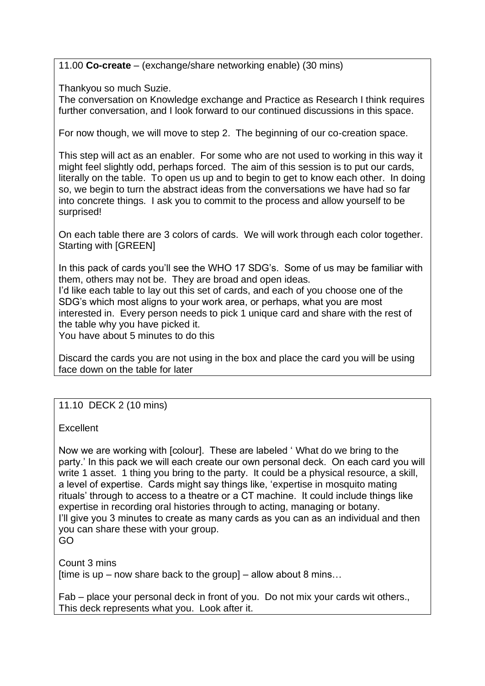11.00 **Co-create** – (exchange/share networking enable) (30 mins)

Thankyou so much Suzie.

The conversation on Knowledge exchange and Practice as Research I think requires further conversation, and I look forward to our continued discussions in this space.

For now though, we will move to step 2. The beginning of our co-creation space.

This step will act as an enabler. For some who are not used to working in this way it might feel slightly odd, perhaps forced. The aim of this session is to put our cards, literally on the table. To open us up and to begin to get to know each other. In doing so, we begin to turn the abstract ideas from the conversations we have had so far into concrete things. I ask you to commit to the process and allow yourself to be surprised!

On each table there are 3 colors of cards. We will work through each color together. Starting with [GREEN]

In this pack of cards you'll see the WHO 17 SDG's. Some of us may be familiar with them, others may not be. They are broad and open ideas. I'd like each table to lay out this set of cards, and each of you choose one of the SDG's which most aligns to your work area, or perhaps, what you are most interested in. Every person needs to pick 1 unique card and share with the rest of the table why you have picked it.

You have about 5 minutes to do this

Discard the cards you are not using in the box and place the card you will be using face down on the table for later

# 11.10 DECK 2 (10 mins)

Excellent

Now we are working with [colour]. These are labeled ' What do we bring to the party.' In this pack we will each create our own personal deck. On each card you will write 1 asset. 1 thing you bring to the party. It could be a physical resource, a skill, a level of expertise. Cards might say things like, 'expertise in mosquito mating rituals' through to access to a theatre or a CT machine. It could include things like expertise in recording oral histories through to acting, managing or botany. I'll give you 3 minutes to create as many cards as you can as an individual and then you can share these with your group. GO

Count 3 mins [time is up – now share back to the group] – allow about 8 mins...

Fab – place your personal deck in front of you. Do not mix your cards wit others., This deck represents what you. Look after it.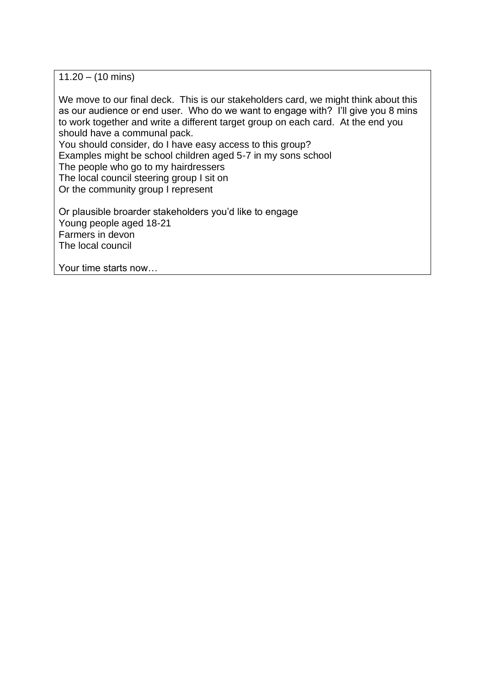$11.20 - (10 \text{ mins})$ 

We move to our final deck. This is our stakeholders card, we might think about this as our audience or end user. Who do we want to engage with? I'll give you 8 mins to work together and write a different target group on each card. At the end you should have a communal pack.

You should consider, do I have easy access to this group?

Examples might be school children aged 5-7 in my sons school

The people who go to my hairdressers

The local council steering group I sit on

Or the community group I represent

Or plausible broarder stakeholders you'd like to engage Young people aged 18-21 Farmers in devon The local council

Your time starts now…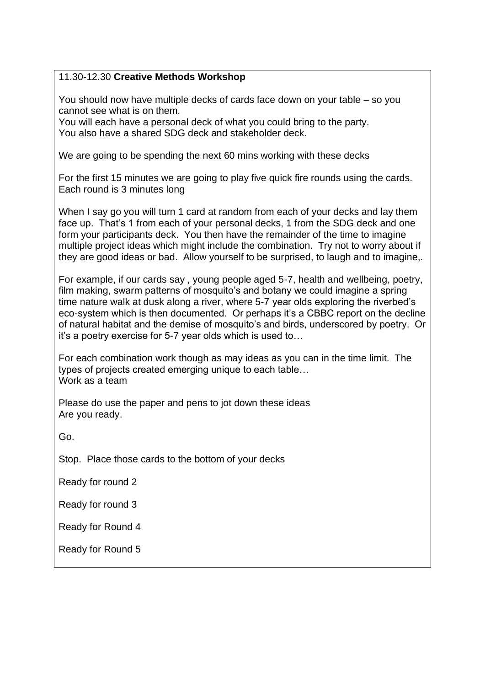### 11.30-12.30 **Creative Methods Workshop**

You should now have multiple decks of cards face down on your table – so you cannot see what is on them.

You will each have a personal deck of what you could bring to the party. You also have a shared SDG deck and stakeholder deck.

We are going to be spending the next 60 mins working with these decks

For the first 15 minutes we are going to play five quick fire rounds using the cards. Each round is 3 minutes long

When I say go you will turn 1 card at random from each of your decks and lay them face up. That's 1 from each of your personal decks, 1 from the SDG deck and one form your participants deck. You then have the remainder of the time to imagine multiple project ideas which might include the combination. Try not to worry about if they are good ideas or bad. Allow yourself to be surprised, to laugh and to imagine,.

For example, if our cards say , young people aged 5-7, health and wellbeing, poetry, film making, swarm patterns of mosquito's and botany we could imagine a spring time nature walk at dusk along a river, where 5-7 year olds exploring the riverbed's eco-system which is then documented. Or perhaps it's a CBBC report on the decline of natural habitat and the demise of mosquito's and birds, underscored by poetry. Or it's a poetry exercise for 5-7 year olds which is used to…

For each combination work though as may ideas as you can in the time limit. The types of projects created emerging unique to each table… Work as a team

Please do use the paper and pens to jot down these ideas Are you ready.

Go.

Stop. Place those cards to the bottom of your decks

Ready for round 2

Ready for round 3

Ready for Round 4

Ready for Round 5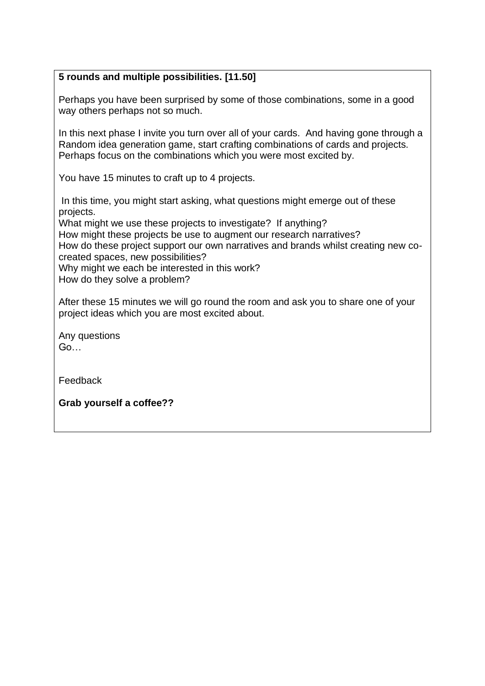## **5 rounds and multiple possibilities. [11.50]**

Perhaps you have been surprised by some of those combinations, some in a good way others perhaps not so much.

In this next phase I invite you turn over all of your cards. And having gone through a Random idea generation game, start crafting combinations of cards and projects. Perhaps focus on the combinations which you were most excited by.

You have 15 minutes to craft up to 4 projects.

In this time, you might start asking, what questions might emerge out of these projects.

What might we use these projects to investigate? If anything?

How might these projects be use to augment our research narratives?

How do these project support our own narratives and brands whilst creating new cocreated spaces, new possibilities?

Why might we each be interested in this work?

How do they solve a problem?

After these 15 minutes we will go round the room and ask you to share one of your project ideas which you are most excited about.

Any questions Go…

Feedback

**Grab yourself a coffee??**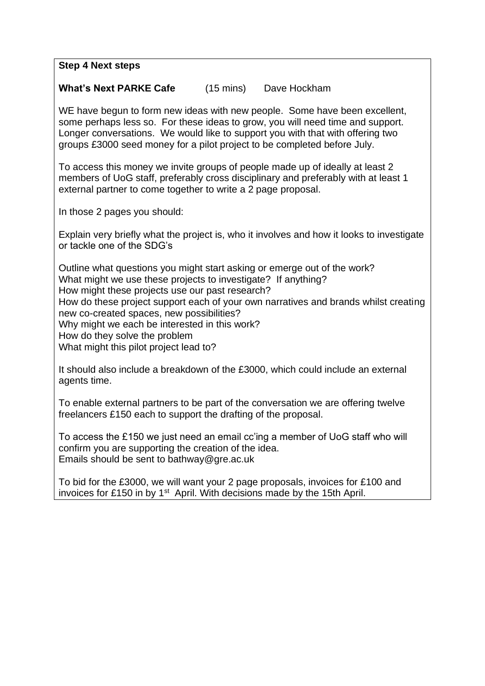**Step 4 Next steps**

#### **What's Next PARKE Cafe** (15 mins) Dave Hockham

WE have begun to form new ideas with new people. Some have been excellent, some perhaps less so. For these ideas to grow, you will need time and support. Longer conversations. We would like to support you with that with offering two groups £3000 seed money for a pilot project to be completed before July.

To access this money we invite groups of people made up of ideally at least 2 members of UoG staff, preferably cross disciplinary and preferably with at least 1 external partner to come together to write a 2 page proposal.

In those 2 pages you should:

Explain very briefly what the project is, who it involves and how it looks to investigate or tackle one of the SDG's

Outline what questions you might start asking or emerge out of the work? What might we use these projects to investigate? If anything? How might these projects use our past research? How do these project support each of your own narratives and brands whilst creating new co-created spaces, new possibilities? Why might we each be interested in this work? How do they solve the problem What might this pilot project lead to?

It should also include a breakdown of the £3000, which could include an external agents time.

To enable external partners to be part of the conversation we are offering twelve freelancers £150 each to support the drafting of the proposal.

To access the £150 we just need an email cc'ing a member of UoG staff who will confirm you are supporting the creation of the idea. Emails should be sent to bathway@gre.ac.uk

To bid for the £3000, we will want your 2 page proposals, invoices for £100 and invoices for £150 in by  $1<sup>st</sup>$  April. With decisions made by the 15th April.